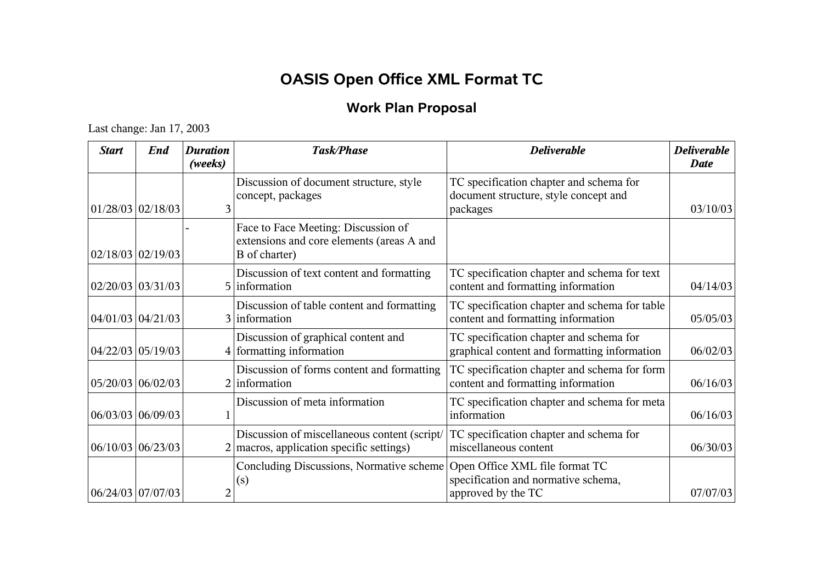## **OASIS Open Office XML Format TC**

## **Work Plan Proposal**

## Last change: Jan 17, 2003

| <b>Start</b> | <b>End</b>          | <b>Duration</b><br>(weeks) | <b>Task/Phase</b>                                                                                 | <b>Deliverable</b>                                                                           | <b>Deliverable</b><br><b>Date</b> |
|--------------|---------------------|----------------------------|---------------------------------------------------------------------------------------------------|----------------------------------------------------------------------------------------------|-----------------------------------|
|              | $01/28/03$ 02/18/03 | 3                          | Discussion of document structure, style<br>concept, packages                                      | TC specification chapter and schema for<br>document structure, style concept and<br>packages | 03/10/03                          |
|              | $02/18/03$ 02/19/03 |                            | Face to Face Meeting: Discussion of<br>extensions and core elements (areas A and<br>B of charter) |                                                                                              |                                   |
|              | $02/20/03$ 03/31/03 |                            | Discussion of text content and formatting<br>5 information                                        | TC specification chapter and schema for text<br>content and formatting information           | 04/14/03                          |
|              | 04/01/03 04/21/03   |                            | Discussion of table content and formatting<br>3 information                                       | TC specification chapter and schema for table<br>content and formatting information          | 05/05/03                          |
|              | 04/22/03 05/19/03   |                            | Discussion of graphical content and<br>4 formatting information                                   | TC specification chapter and schema for<br>graphical content and formatting information      | 06/02/03                          |
|              | 05/20/03 06/02/03   |                            | Discussion of forms content and formatting<br>$2$ information                                     | TC specification chapter and schema for form<br>content and formatting information           | 06/16/03                          |
|              | 06/03/03 06/09/03   |                            | Discussion of meta information                                                                    | TC specification chapter and schema for meta<br>information                                  | 06/16/03                          |
|              | 06/10/03 06/23/03   |                            | Discussion of miscellaneous content (script/<br>$2 \mid$ macros, application specific settings)   | TC specification chapter and schema for<br>miscellaneous content                             | 06/30/03                          |
|              | 06/24/03 07/07/03   | 2                          | Concluding Discussions, Normative scheme<br>(s)                                                   | Open Office XML file format TC<br>specification and normative schema,<br>approved by the TC  | 07/07/03                          |